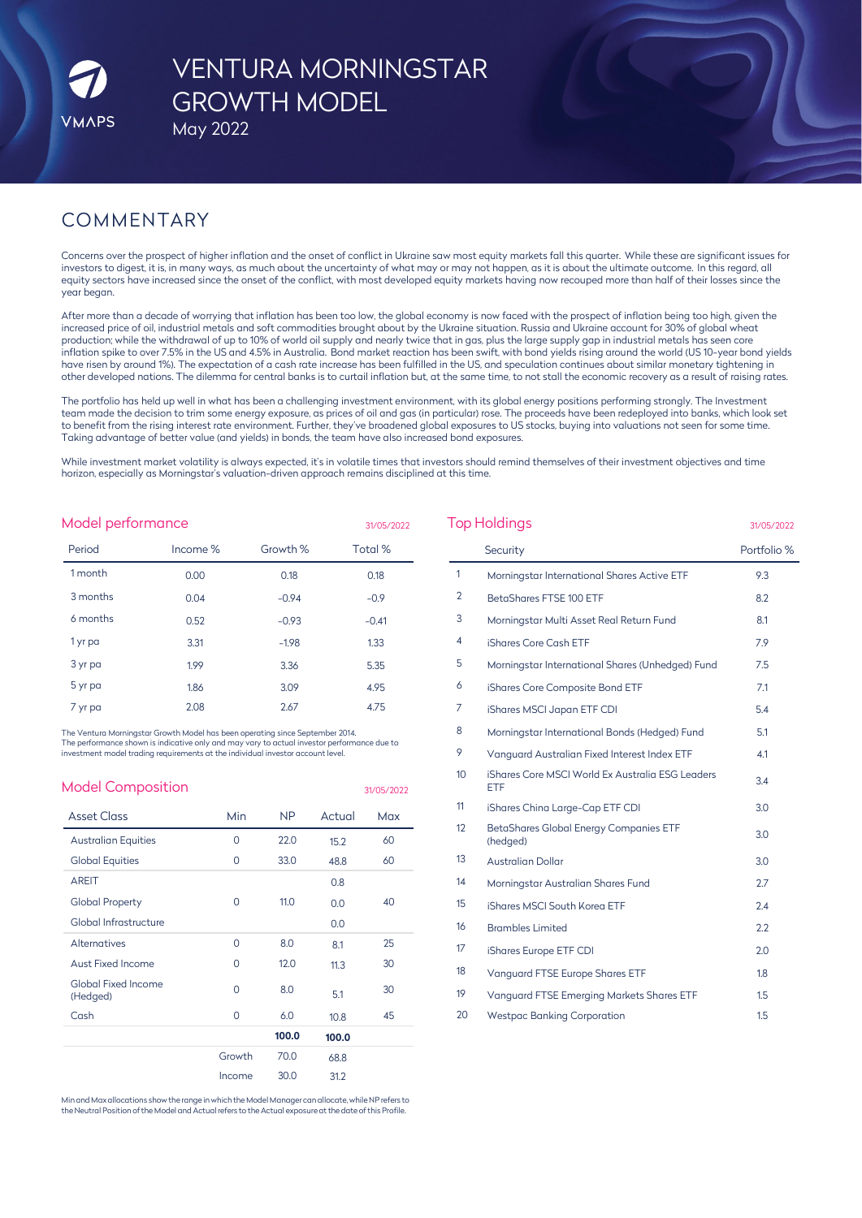# VENTURA MORNINGSTAR GROWTH MODEL

May 2022

# COMMENTARY

Concerns over the prospect of higher inflation and the onset of conflict in Ukraine saw most equity markets fall this quarter. While these are significant issues for investors to digest, it is, in many ways, as much about the uncertainty of what may or may not happen, as it is about the ultimate outcome. In this regard, all equity sectors have increased since the onset of the conflict, with most developed equity markets having now recouped more than half of their losses since the year began.

After more than a decade of worrying that inflation has been too low, the global economy is now faced with the prospect of inflation being too high, given the increased price of oil, industrial metals and soft commodities brought about by the Ukraine situation. Russia and Ukraine account for 30% of global wheat production; while the withdrawal of up to 10% of world oil supply and nearly twice that in gas, plus the large supply gap in industrial metals has seen core inflation spike to over 7.5% in the US and 4.5% in Australia. Bond market reaction has been swift, with bond yields rising around the world (US 10-year bond yields have risen by around 1%). The expectation of a cash rate increase has been fulfilled in the US, and speculation continues about similar monetary tightening in other developed nations. The dilemma for central banks is to curtail inflation but, at the same time, to not stall the economic recovery as a result of raising rates.

The portfolio has held up well in what has been a challenging investment environment, with its global energy positions performing strongly. The Investment team made the decision to trim some energy exposure, as prices of oil and gas (in particular) rose. The proceeds have been redeployed into banks, which look set to benefit from the rising interest rate environment. Further, they've broadened global exposures to US stocks, buying into valuations not seen for some time. Taking advantage of better value (and yields) in bonds, the team have also increased bond exposures.

While investment market volatility is always expected, it's in volatile times that investors should remind themselves of their investment objectives and time horizon, especially as Morningstar's valuation-driven approach remains disciplined at this time.

| Model performance<br>31/05/2022 |          |          |         |  |  |
|---------------------------------|----------|----------|---------|--|--|
| Period                          | Income % | Growth % | Total % |  |  |
| 1 month                         | 0.00     | 0.18     | 0.18    |  |  |
| 3 months                        | 0.04     | $-0.94$  | $-0.9$  |  |  |
| 6 months                        | 0.52     | $-0.93$  | $-0.41$ |  |  |
| 1 yr pa                         | 3.31     | $-1.98$  | 1.33    |  |  |
| 3 yr pa                         | 1.99     | 3.36     | 5.35    |  |  |
| 5 yr pa                         | 1.86     | 3.09     | 4.95    |  |  |
| 7 yr pa                         | 2.08     | 2.67     | 4.75    |  |  |

The Ventura Morningstar Growth Model has been operating since September 2014. The performance shown is indicative only and may vary to actual investor performance due to investment model trading requirements at the individual investor account level.

| <b>Model Composition</b>               |          |           |        | 31/05/2022 |
|----------------------------------------|----------|-----------|--------|------------|
| <b>Asset Class</b>                     | Min      | <b>NP</b> | Actual | Max        |
| <b>Australian Equities</b>             | $\Omega$ | 22.0      | 15.2   | 60         |
| <b>Global Equities</b>                 | 0        | 33.0      | 48.8   | 60         |
| <b>AREIT</b>                           |          |           | 0.8    |            |
| <b>Global Property</b>                 | 0        | 11.0      | 0.0    | 40         |
| Global Infrastructure                  |          |           | 0.0    |            |
| Alternatives                           | 0        | 8.0       | 8.1    | 25         |
| <b>Aust Fixed Income</b>               | 0        | 12.0      | 11.3   | 30         |
| <b>Global Fixed Income</b><br>(Hedged) | 0        | 8.0       | 5.1    | 30         |
| Cash                                   | $\Omega$ | 6.0       | 10.8   | 45         |
|                                        |          | 100.0     | 100.0  |            |
|                                        | Growth   | 70.0      | 68.8   |            |
|                                        | Income   | 30.0      | 31.2   |            |

Minand Max allocations show the range inwhichthe Model Manager canallocate, while NP refers to the Neutral Position of the Model and Actual refers to the Actual exposure at the date of this Profile.

| <b>Top Holdings</b> | 31/05/2022                                                     |             |
|---------------------|----------------------------------------------------------------|-------------|
|                     | Security                                                       | Portfolio % |
| $\mathbf{1}$        | Morningstar International Shares Active ETF                    | 9.3         |
| $\overline{2}$      | BetaShares FTSE 100 ETF                                        | 8.2         |
| 3                   | Morningstar Multi Asset Real Return Fund                       | 8.1         |
| 4                   | iShares Core Cash ETF                                          | 7.9         |
| 5                   | Morningstar International Shares (Unhedged) Fund               | 7.5         |
| 6                   | iShares Core Composite Bond ETF                                | 7.1         |
| 7                   | iShares MSCI Japan ETF CDI                                     | 5.4         |
| 8                   | Morningstar International Bonds (Hedged) Fund                  | 5.1         |
| 9                   | Vanguard Australian Fixed Interest Index ETF                   | 4.1         |
| 10 <sup>10</sup>    | iShares Core MSCI World Ex Australia ESG Leaders<br><b>ETF</b> | 3.4         |
| 11                  | iShares China Large-Cap ETF CDI                                | 3.0         |
| 12                  | BetaShares Global Energy Companies ETF<br>(hedged)             | 3.0         |
| 13                  | <b>Australian Dollar</b>                                       | 3.0         |
| 14                  | Morningstar Australian Shares Fund                             | 2.7         |
| 15                  | iShares MSCI South Korea ETF                                   | 2.4         |
| 16                  | <b>Brambles Limited</b>                                        | 2.2         |
| 17                  | iShares Europe ETF CDI                                         | 2.0         |
| 18                  | Vanguard FTSE Europe Shares ETF                                | 1.8         |
| 19                  | Vanquard FTSE Emerging Markets Shares ETF                      | 1.5         |
| 20                  | <b>Westpac Banking Corporation</b>                             | 1.5         |